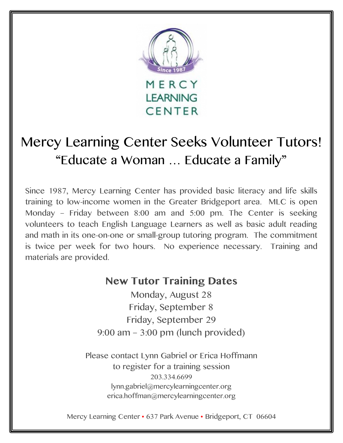

## Mercy Learning Center Seeks Volunteer Tutors! "Educate a Woman … Educate a Family"

Since 1987, Mercy Learning Center has provided basic literacy and life skills training to low-income women in the Greater Bridgeport area. MLC is open Monday – Friday between 8:00 am and 5:00 pm. The Center is seeking volunteers to teach English Language Learners as well as basic adult reading and math in its one-on-one or small-group tutoring program. The commitment is twice per week for two hours. No experience necessary. Training and materials are provided.

## **New Tutor Training Dates**

Monday, August 28 Friday, September 8 Friday, September 29 9:00 am – 3:00 pm (lunch provided)

Please contact Lynn Gabriel or Erica Hoffmann to register for a training session 203.334.6699 lynn.gabriel@mercylearningcenter.org erica.hoffman@mercylearningcenter.org

Mercy Learning Center • 637 Park Avenue • Bridgeport, CT 06604